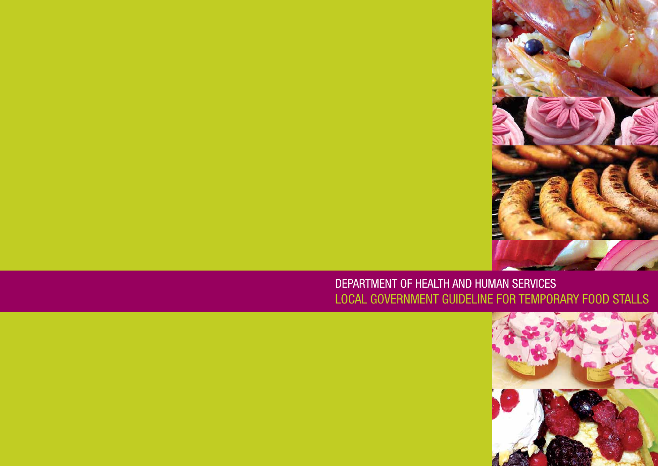



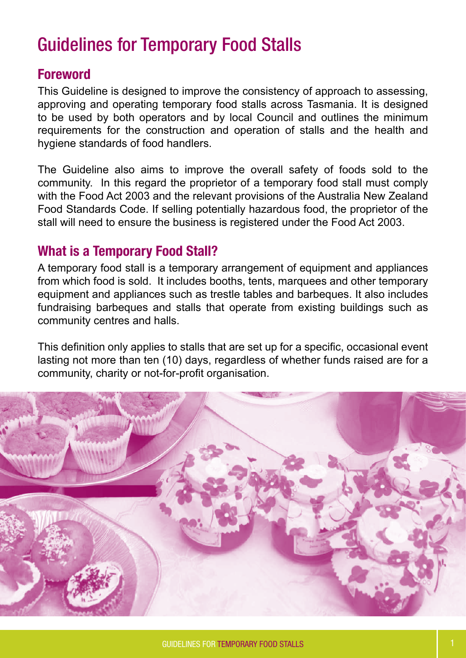# Guidelines for Temporary Food Stalls

# Foreword

This Guideline is designed to improve the consistency of approach to assessing, approving and operating temporary food stalls across Tasmania. It is designed to be used by both operators and by local Council and outlines the minimum requirements for the construction and operation of stalls and the health and hygiene standards of food handlers.

The Guideline also aims to improve the overall safety of foods sold to the community. In this regard the proprietor of a temporary food stall must comply with the Food Act 2003 and the relevant provisions of the Australia New Zealand Food Standards Code. If selling potentially hazardous food, the proprietor of the stall will need to ensure the business is registered under the Food Act 2003.

# What is a Temporary Food Stall?

A temporary food stall is a temporary arrangement of equipment and appliances from which food is sold. It includes booths, tents, marquees and other temporary equipment and appliances such as trestle tables and barbeques. It also includes fundraising barbeques and stalls that operate from existing buildings such as community centres and halls.

This definition only applies to stalls that are set up for a specific, occasional event lasting not more than ten (10) days, regardless of whether funds raised are for a community, charity or not-for-profit organisation.

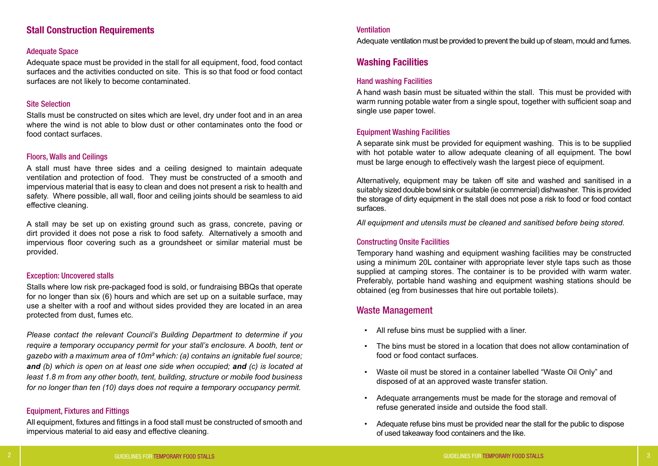Adequate ventilation must be provided to prevent the build up of steam, mould and fumes.

# Washing Facilities

## Hand washing Facilities

A hand wash basin must be situated within the stall. This must be provided with warm running potable water from a single spout, together with sufficient soap and single use paper towel.

## Equipment Washing Facilities

A separate sink must be provided for equipment washing. This is to be supplied with hot potable water to allow adequate cleaning of all equipment. The bowl must be large enough to effectively wash the largest piece of equipment.

Alternatively, equipment may be taken off site and washed and sanitised in a suitably sized double bowl sink or suitable (ie commercial) dishwasher. This is provided the storage of dirty equipment in the stall does not pose a risk to food or food contact surfaces.

*All equipment and utensils must be cleaned and sanitised before being stored.*

## Constructing Onsite Facilities

Temporary hand washing and equipment washing facilities may be constructed using a minimum 20L container with appropriate lever style taps such as those supplied at camping stores. The container is to be provided with warm water. Preferably, portable hand washing and equipment washing stations should be obtained (eg from businesses that hire out portable toilets).

# Waste Management

• The bins must be stored in a location that does not allow contamination of

- All refuse bins must be supplied with a liner.
- food or food contact surfaces.
- Waste oil must be stored in a container labelled "Waste Oil Only" and disposed of at an approved waste transfer station.
- Adequate arrangements must be made for the storage and removal of refuse generated inside and outside the food stall.
- Adequate refuse bins must be provided near the stall for the public to dispose of used takeaway food containers and the like.

# Stall Construction Requirements

## Adequate Space

Adequate space must be provided in the stall for all equipment, food, food contact surfaces and the activities conducted on site. This is so that food or food contact surfaces are not likely to become contaminated.

## Site Selection

Stalls must be constructed on sites which are level, dry under foot and in an area where the wind is not able to blow dust or other contaminates onto the food or food contact surfaces.

## Floors, Walls and Ceilings

A stall must have three sides and a ceiling designed to maintain adequate ventilation and protection of food. They must be constructed of a smooth and impervious material that is easy to clean and does not present a risk to health and safety. Where possible, all wall, floor and ceiling joints should be seamless to aid effective cleaning.

A stall may be set up on existing ground such as grass, concrete, paving or dirt provided it does not pose a risk to food safety. Alternatively a smooth and impervious floor covering such as a groundsheet or similar material must be provided.

## Exception: Uncovered stalls

Stalls where low risk pre-packaged food is sold, or fundraising BBQs that operate for no longer than six (6) hours and which are set up on a suitable surface, may use a shelter with a roof and without sides provided they are located in an area protected from dust, fumes etc.

*Please contact the relevant Council's Building Department to determine if you require a temporary occupancy permit for your stall's enclosure. A booth, tent or gazebo with a maximum area of 10m² which: (a) contains an ignitable fuel source; and (b) which is open on at least one side when occupied; and (c) is located at least 1.8 m from any other booth, tent, building, structure or mobile food business for no longer than ten (10) days does not require a temporary occupancy permit.*

## Equipment, Fixtures and Fittings

All equipment, fixtures and fittings in a food stall must be constructed of smooth and impervious material to aid easy and effective cleaning.

## **Ventilation**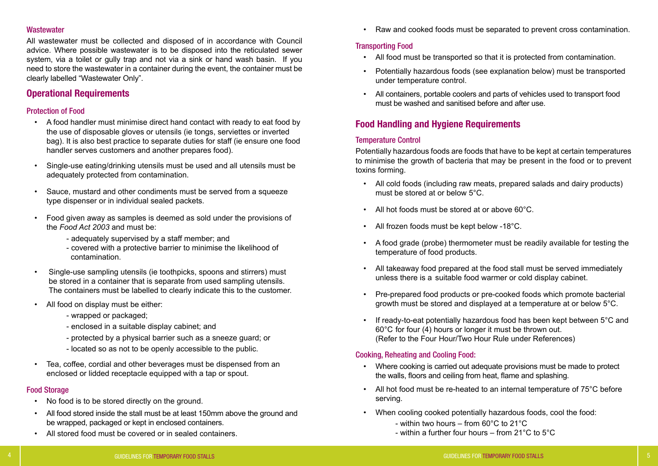## **Wastewater**

All wastewater must be collected and disposed of in accordance with Council advice. Where possible wastewater is to be disposed into the reticulated sewer system, via a toilet or gully trap and not via a sink or hand wash basin. If you need to store the wastewater in a container during the event, the container must be clearly labelled "Wastewater Only".

# Operational Requirements

## Protection of Food

- No food is to be stored directly on the ground.
- All food stored inside the stall must be at least 150mm above the ground and be wrapped, packaged or kept in enclosed containers.
- All stored food must be covered or in sealed containers.

- A food handler must minimise direct hand contact with ready to eat food by the use of disposable gloves or utensils (ie tongs, serviettes or inverted bag). It is also best practice to separate duties for staff (ie ensure one food handler serves customers and another prepares food).
- Single-use eating/drinking utensils must be used and all utensils must be adequately protected from contamination.
- Sauce, mustard and other condiments must be served from a squeeze type dispenser or in individual sealed packets.
- Food given away as samples is deemed as sold under the provisions of the *Food Act 2003* and must be:
	- adequately supervised by a staff member; and
	- covered with a protective barrier to minimise the likelihood of contamination.
- Single-use sampling utensils (ie toothpicks, spoons and stirrers) must be stored in a container that is separate from used sampling utensils. The containers must be labelled to clearly indicate this to the customer.
- All food on display must be either:
	- wrapped or packaged;
	- enclosed in a suitable display cabinet; and
	- protected by a physical barrier such as a sneeze guard; or
	- located so as not to be openly accessible to the public.
- Tea, coffee, cordial and other beverages must be dispensed from an enclosed or lidded receptacle equipped with a tap or spout.

## Food Storage

• Raw and cooked foods must be separated to prevent cross contamination.

# Transporting Food

• Potentially hazardous foods (see explanation below) must be transported

- All food must be transported so that it is protected from contamination.
- under temperature control.
- All containers, portable coolers and parts of vehicles used to transport food must be washed and sanitised before and after use.

# Food Handling and Hygiene Requirements

## Temperature Control

Potentially hazardous foods are foods that have to be kept at certain temperatures to minimise the growth of bacteria that may be present in the food or to prevent toxins forming.

• A food grade (probe) thermometer must be readily available for testing the

• All takeaway food prepared at the food stall must be served immediately

- All cold foods (including raw meats, prepared salads and dairy products) must be stored at or below 5°C.
- All hot foods must be stored at or above 60°C.
- All frozen foods must be kept below -18°C.
- temperature of food products.
- unless there is a suitable food warmer or cold display cabinet.
- growth must be stored and displayed at a temperature at or below 5°C.
- 60°C for four (4) hours or longer it must be thrown out. (Refer to the Four Hour/Two Hour Rule under References)

• Pre-prepared food products or pre-cooked foods which promote bacterial

If ready-to-eat potentially hazardous food has been kept between 5°C and

# Cooking, Reheating and Cooling Food:

- Where cooking is carried out adequate provisions must be made to protect the walls, floors and ceiling from heat, flame and splashing.
- All hot food must be re-heated to an internal temperature of 75°C before serving.
- When cooling cooked potentially hazardous foods, cool the food:
	- within two hours from 60°C to 21°C
	- within a further four hours from 21°C to 5°C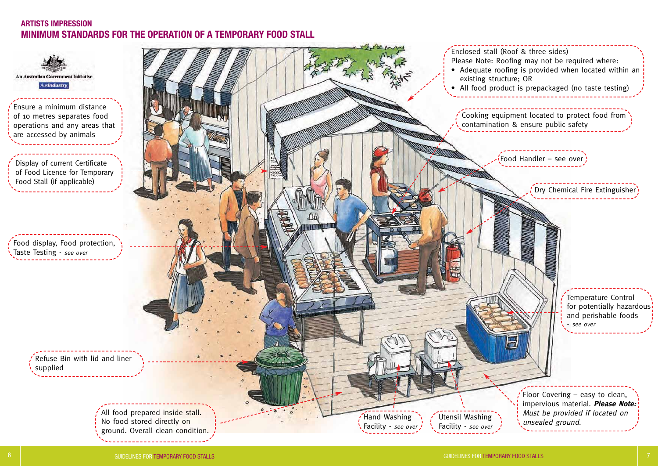Food display, Food protection, Taste Testing - see over

Ensure a minimum distance of 10 metres separates food operations and any areas that are accessed by animals

Display of current Certificate of Food Licence for Temporary Food Stall (if applicable)

> Refuse Bin with lid and liner supplied

> > All food prepared inside stall. No food stored directly on ground. Overall clean condition. <u>. . . . . . . . . . . . . . .</u>



Utensil Washing Facility - see over

# ARTISTS IMPRESSION<br>MINIMUM STANDARDS FOR THE OPERATION OF A TEMPORARY FOOD STALL ARTISTS IMPRESSION





Produced by GCCC Publications Unit 2006 © 2597(b)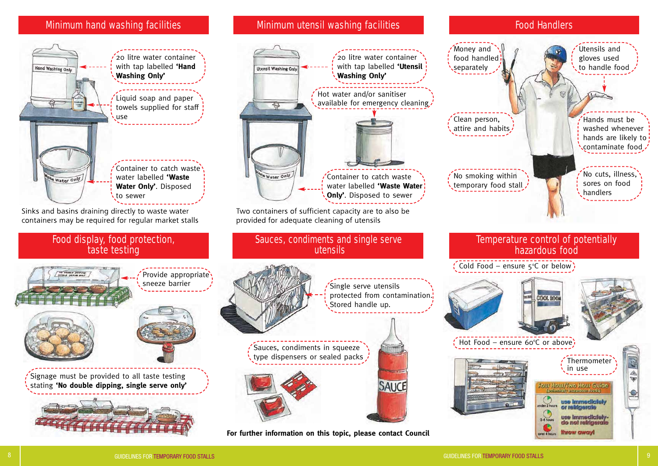over 4 hours throw away!











Signage must be provided to all taste testing stating **'No double dipping, single serve only'**



# Minimum hand washing facilities **No. 1998 Minimum utensil washing facilities Food Handlers** Food Handlers



**For further information on this topic, please contact Council**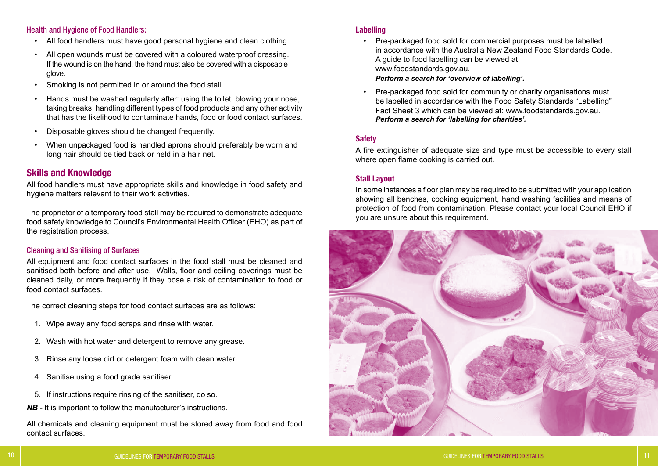## Health and Hygiene of Food Handlers:

- All food handlers must have good personal hygiene and clean clothing.
- All open wounds must be covered with a coloured waterproof dressing. If the wound is on the hand, the hand must also be covered with a disposable glove.
- Smoking is not permitted in or around the food stall.
- Hands must be washed regularly after: using the toilet, blowing your nose, taking breaks, handling different types of food products and any other activity that has the likelihood to contaminate hands, food or food contact surfaces.
- Disposable gloves should be changed frequently.
- When unpackaged food is handled aprons should preferably be worn and long hair should be tied back or held in a hair net.

# Skills and Knowledge

All food handlers must have appropriate skills and knowledge in food safety and hygiene matters relevant to their work activities.

The proprietor of a temporary food stall may be required to demonstrate adequate food safety knowledge to Council's Environmental Health Officer (EHO) as part of the registration process.

## Cleaning and Sanitising of Surfaces

All equipment and food contact surfaces in the food stall must be cleaned and sanitised both before and after use. Walls, floor and ceiling coverings must be cleaned daily, or more frequently if they pose a risk of contamination to food or food contact surfaces.

The correct cleaning steps for food contact surfaces are as follows:

- 1. Wipe away any food scraps and rinse with water.
- 2. Wash with hot water and detergent to remove any grease.
- 3. Rinse any loose dirt or detergent foam with clean water.
- 4. Sanitise using a food grade sanitiser.
- 5. If instructions require rinsing of the sanitiser, do so.
- *NB -* It is important to follow the manufacturer's instructions.

All chemicals and cleaning equipment must be stored away from food and food contact surfaces.

## Labelling

- Pre-packaged food sold for commercial purposes must be labelled in accordance with the Australia New Zealand Food Standards Code. A guide to food labelling can be viewed at: www.foodstandards.gov.au.  *Perform a search for 'overview of labelling'.*
- Pre-packaged food sold for community or charity organisations must be labelled in accordance with the Food Safety Standards "Labelling" Fact Sheet 3 which can be viewed at: www.foodstandards.gov.au.  *Perform a search for 'labelling for charities'.*

# Safety

A fire extinguisher of adequate size and type must be accessible to every stall where open flame cooking is carried out.

# Stall Layout

In some instances a floor plan may be required to be submitted with your application showing all benches, cooking equipment, hand washing facilities and means of protection of food from contamination. Please contact your local Council EHO if you are unsure about this requirement.